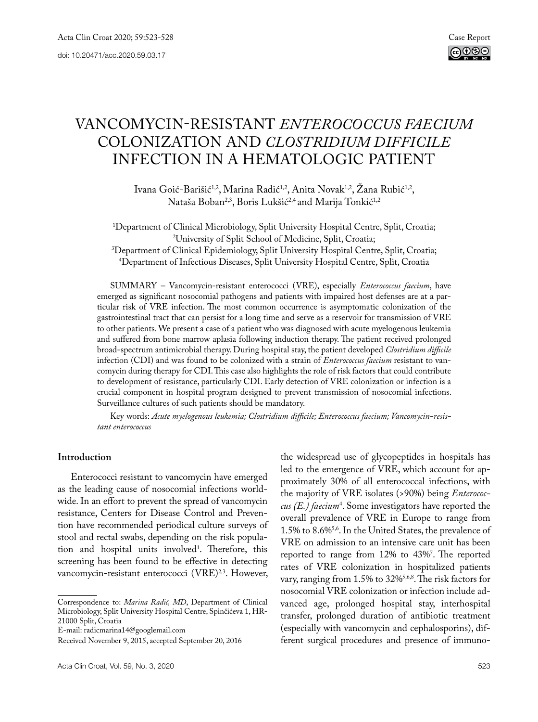# Vancomycin-resistant *Enterococcus faecium* COLONIZATION and *Clostridium difficile* infection in a HEMATOLOGIC patient

Ivana Goić-Barišić<sup>1,2</sup>, Marina Radić<sup>1,2</sup>, Anita Novak<sup>1,2</sup>, Žana Rubić<sup>1,2</sup>, Nataša Boban<sup>2,3</sup>, Boris Lukšić<sup>2,4</sup> and Marija Tonkić<sup>1,2</sup>

1 Department of Clinical Microbiology, Split University Hospital Centre, Split, Croatia; <sup>2</sup>University of Split School of Medicine, Split, Croatia; University of Split School of Medicine, Split, Croatia; 3 Department of Clinical Epidemiology, Split University Hospital Centre, Split, Croatia; 4 Department of Infectious Diseases, Split University Hospital Centre, Split, Croatia

SUMMARY – Vancomycin-resistant enterococci (VRE), especially *Enterococcus faecium*, have emerged as significant nosocomial pathogens and patients with impaired host defenses are at a particular risk of VRE infection. The most common occurrence is asymptomatic colonization of the gastrointestinal tract that can persist for a long time and serve as a reservoir for transmission of VRE to other patients. We present a case of a patient who was diagnosed with acute myelogenous leukemia and suffered from bone marrow aplasia following induction therapy. The patient received prolonged broad-spectrum antimicrobial therapy. During hospital stay, the patient developed *Clostridium difficile* infection (CDI) and was found to be colonized with a strain of *Enterococcus faecium* resistant to vancomycin during therapy for CDI. This case also highlights the role of risk factors that could contribute to development of resistance, particularly CDI. Early detection of VRE colonization or infection is a crucial component in hospital program designed to prevent transmission of nosocomial infections. Surveillance cultures of such patients should be mandatory.

Key words: *Acute myelogenous leukemia; Clostridium difficile; Enterococcus faecium; Vancomycin-resistant enterococcus*

#### **Introduction**

Enterococci resistant to vancomycin have emerged as the leading cause of nosocomial infections worldwide. In an effort to prevent the spread of vancomycin resistance, Centers for Disease Control and Prevention have recommended periodical culture surveys of stool and rectal swabs, depending on the risk population and hospital units involved<sup>1</sup>. Therefore, this screening has been found to be effective in detecting vancomycin-resistant enterococci (VRE)<sup>2,3</sup>. However,

the widespread use of glycopeptides in hospitals has led to the emergence of VRE, which account for approximately 30% of all enterococcal infections, with the majority of VRE isolates (>90%) being *Enterococcus (E.) faecium*<sup>4</sup> . Some investigators have reported the overall prevalence of VRE in Europe to range from 1.5% to 8.6%5,6. In the United States, the prevalence of VRE on admission to an intensive care unit has been reported to range from 12% to 43%7 . The reported rates of VRE colonization in hospitalized patients vary, ranging from 1.5% to 32%5,6,8. The risk factors for nosocomial VRE colonization or infection include advanced age, prolonged hospital stay, interhospital transfer, prolonged duration of antibiotic treatment (especially with vancomycin and cephalosporins), different surgical procedures and presence of immuno-

Correspondence to: *Marina Radić, MD*, Department of Clinical Microbiology, Split University Hospital Centre, Spinčićeva 1, HR-21000 Split, Croatia

E-mail: [radicmarina14@googlemail.com](mailto:radicmarina14@googlemail.com)

Received November 9, 2015, accepted September 20, 2016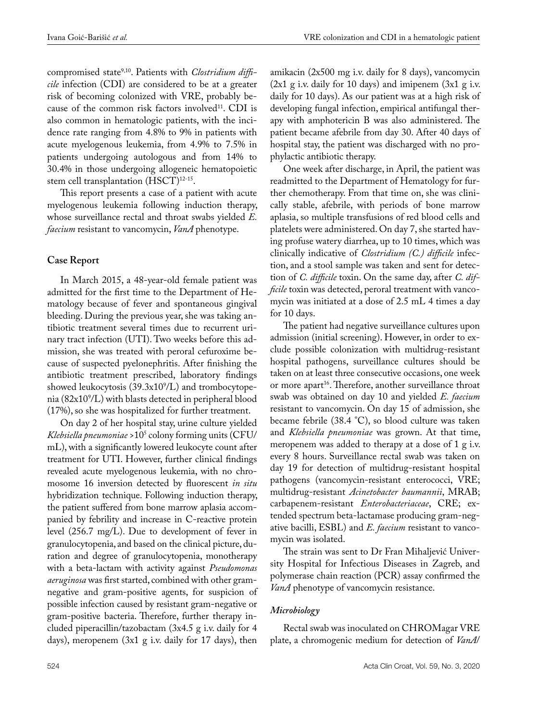compromised state<sup>9,10</sup>. Patients with *Clostridium difficile* infection (CDI) are considered to be at a greater risk of becoming colonized with VRE, probably because of the common risk factors involved<sup>11</sup>. CDI is also common in hematologic patients, with the incidence rate ranging from 4.8% to 9% in patients with acute myelogenous leukemia, from 4.9% to 7.5% in patients undergoing autologous and from 14% to 30.4% in those undergoing allogeneic hematopoietic stem cell transplantation (HSCT)<sup>12-15</sup>.

This report presents a case of a patient with acute myelogenous leukemia following induction therapy, whose surveillance rectal and throat swabs yielded *E. faecium* resistant to vancomycin, *VanA* phenotype.

# **Case Report**

In March 2015, a 48-year-old female patient was admitted for the first time to the Department of Hematology because of fever and spontaneous gingival bleeding. During the previous year, she was taking antibiotic treatment several times due to recurrent urinary tract infection (UTI). Two weeks before this admission, she was treated with peroral cefuroxime because of suspected pyelonephritis. After finishing the antibiotic treatment prescribed, laboratory findings showed leukocytosis (39.3x109 /L) and trombocytopenia (82x109 /L) with blasts detected in peripheral blood (17%), so she was hospitalized for further treatment.

On day 2 of her hospital stay, urine culture yielded *Klebsiella pneumoniae* >105 colony forming units (CFU/ mL), with a significantly lowered leukocyte count after treatment for UTI. However, further clinical findings revealed acute myelogenous leukemia, with no chromosome 16 inversion detected by fluorescent *in situ* hybridization technique. Following induction therapy, the patient suffered from bone marrow aplasia accompanied by febrility and increase in C-reactive protein level (256.7 mg/L). Due to development of fever in granulocytopenia, and based on the clinical picture, duration and degree of granulocytopenia, monotherapy with a beta-lactam with activity against *Pseudomonas aeruginosa* was first started, combined with other gramnegative and gram-positive agents, for suspicion of possible infection caused by resistant gram-negative or gram-positive bacteria. Therefore, further therapy included piperacillin/tazobactam (3x4.5 g i.v. daily for 4 days), meropenem (3x1 g i.v. daily for 17 days), then

amikacin (2x500 mg i.v. daily for 8 days), vancomycin  $(2x1 \text{ g i.v.}$  daily for 10 days) and imipenem  $(3x1 \text{ g i.v.})$ daily for 10 days). As our patient was at a high risk of developing fungal infection, empirical antifungal therapy with amphotericin B was also administered. The patient became afebrile from day 30. After 40 days of hospital stay, the patient was discharged with no prophylactic antibiotic therapy.

One week after discharge, in April, the patient was readmitted to the Department of Hematology for further chemotherapy. From that time on, she was clinically stable, afebrile, with periods of bone marrow aplasia, so multiple transfusions of red blood cells and platelets were administered. On day 7, she started having profuse watery diarrhea, up to 10 times, which was clinically indicative of *Clostridium (C.) difficile* infection, and a stool sample was taken and sent for detection of *C. difficile* toxin. On the same day, after *C. difficile* toxin was detected, peroral treatment with vancomycin was initiated at a dose of 2.5 mL 4 times a day for 10 days.

The patient had negative surveillance cultures upon admission (initial screening). However, in order to exclude possible colonization with multidrug-resistant hospital pathogens, surveillance cultures should be taken on at least three consecutive occasions, one week or more apart<sup>16</sup>. Therefore, another surveillance throat swab was obtained on day 10 and yielded *E. faecium* resistant to vancomycin. On day 15 of admission, she became febrile (38.4 °C), so blood culture was taken and *Klebsiella pneumoniae* was grown. At that time, meropenem was added to therapy at a dose of 1 g i.v. every 8 hours. Surveillance rectal swab was taken on day 19 for detection of multidrug-resistant hospital pathogens (vancomycin-resistant enterococci, VRE; multidrug-resistant *Acinetobacter baumannii*, MRAB; carbapenem-resistant *Enterobacteriaceae*, CRE; extended spectrum beta-lactamase producing gram-negative bacilli, ESBL) and *E. faecium* resistant to vancomycin was isolated.

The strain was sent to Dr Fran Mihaljević University Hospital for Infectious Diseases in Zagreb, and polymerase chain reaction (PCR) assay confirmed the *VanA* phenotype of vancomycin resistance.

# *Microbiology*

Rectal swab was inoculated on CHROMagar VRE plate, a chromogenic medium for detection of *VanA*/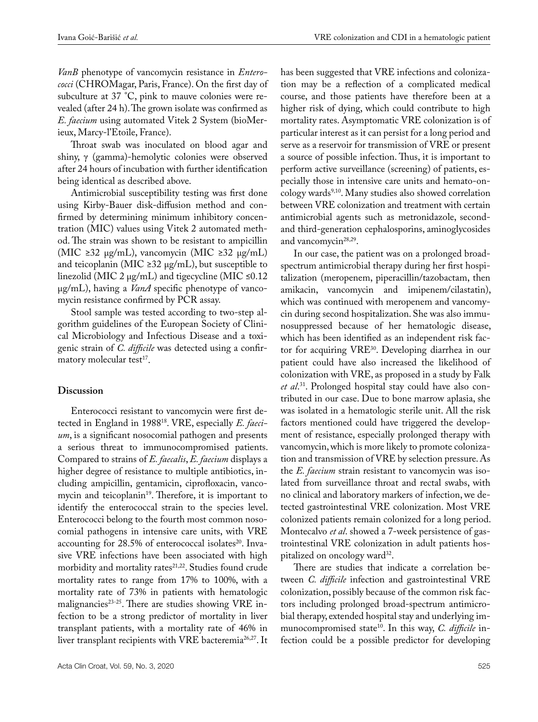*VanB* phenotype of vancomycin resistance in *Enterococci* (CHROMagar, Paris, France). On the first day of subculture at 37 °C, pink to mauve colonies were revealed (after 24 h). The grown isolate was confirmed as *E. faecium* using automated Vitek 2 System (bioMerieux, Marcy-l'Etoile, France).

Throat swab was inoculated on blood agar and shiny, γ (gamma)-hemolytic colonies were observed after 24 hours of incubation with further identification being identical as described above.

Antimicrobial susceptibility testing was first done using Kirby-Bauer disk-diffusion method and confirmed by determining minimum inhibitory concentration (MIC) values using Vitek 2 automated method. The strain was shown to be resistant to ampicillin (MIC ≥32 µg/mL), vancomycin (MIC ≥32 µg/mL) and teicoplanin (MIC  $\geq$ 32 µg/mL), but susceptible to linezolid (MIC 2  $\mu$ g/mL) and tigecycline (MIC ≤0.12 µg/mL), having a *VanA* specific phenotype of vancomycin resistance confirmed by PCR assay.

Stool sample was tested according to two-step algorithm guidelines of the European Society of Clinical Microbiology and Infectious Disease and a toxigenic strain of *C. difficile* was detected using a confirmatory molecular test<sup>17</sup>.

### **Discussion**

Enterococci resistant to vancomycin were first detected in England in 198818. VRE, especially *E. faecium*, is a significant nosocomial pathogen and presents a serious threat to immunocompromised patients. Compared to strains of *E. faecalis*, *E. faecium* displays a higher degree of resistance to multiple antibiotics, including ampicillin, gentamicin, ciprofloxacin, vancomycin and teicoplanin<sup>19</sup>. Therefore, it is important to identify the enterococcal strain to the species level. Enterococci belong to the fourth most common nosocomial pathogens in intensive care units, with VRE accounting for  $28.5\%$  of enterococcal isolates<sup>20</sup>. Invasive VRE infections have been associated with high morbidity and mortality rates<sup>21,22</sup>. Studies found crude mortality rates to range from 17% to 100%, with a mortality rate of 73% in patients with hematologic malignancies<sup>23-25</sup>. There are studies showing VRE infection to be a strong predictor of mortality in liver transplant patients, with a mortality rate of 46% in liver transplant recipients with VRE bacteremia<sup>26,27</sup>. It

has been suggested that VRE infections and colonization may be a reflection of a complicated medical course, and those patients have therefore been at a higher risk of dying, which could contribute to high mortality rates. Asymptomatic VRE colonization is of particular interest as it can persist for a long period and serve as a reservoir for transmission of VRE or present a source of possible infection. Thus, it is important to perform active surveillance (screening) of patients, especially those in intensive care units and hemato-oncology wards<sup>9,10</sup>. Many studies also showed correlation between VRE colonization and treatment with certain antimicrobial agents such as metronidazole, secondand third-generation cephalosporins, aminoglycosides and vancomycin<sup>28,29</sup>.

In our case, the patient was on a prolonged broadspectrum antimicrobial therapy during her first hospitalization (meropenem, piperacillin/tazobactam, then amikacin, vancomycin and imipenem/cilastatin), which was continued with meropenem and vancomycin during second hospitalization. She was also immunosuppressed because of her hematologic disease, which has been identified as an independent risk factor for acquiring VRE30. Developing diarrhea in our patient could have also increased the likelihood of colonization with VRE, as proposed in a study by Falk *et al*. 31. Prolonged hospital stay could have also contributed in our case. Due to bone marrow aplasia, she was isolated in a hematologic sterile unit. All the risk factors mentioned could have triggered the development of resistance, especially prolonged therapy with vancomycin, which is more likely to promote colonization and transmission of VRE by selection pressure. As the *E. faecium* strain resistant to vancomycin was isolated from surveillance throat and rectal swabs, with no clinical and laboratory markers of infection, we detected gastrointestinal VRE colonization. Most VRE colonized patients remain colonized for a long period. Montecalvo *et al*. showed a 7-week persistence of gastrointestinal VRE colonization in adult patients hospitalized on oncology ward<sup>32</sup>.

There are studies that indicate a correlation between *C. difficile* infection and gastrointestinal VRE colonization, possibly because of the common risk factors including prolonged broad-spectrum antimicrobial therapy, extended hospital stay and underlying immunocompromised state<sup>10</sup>. In this way, *C. difficile* infection could be a possible predictor for developing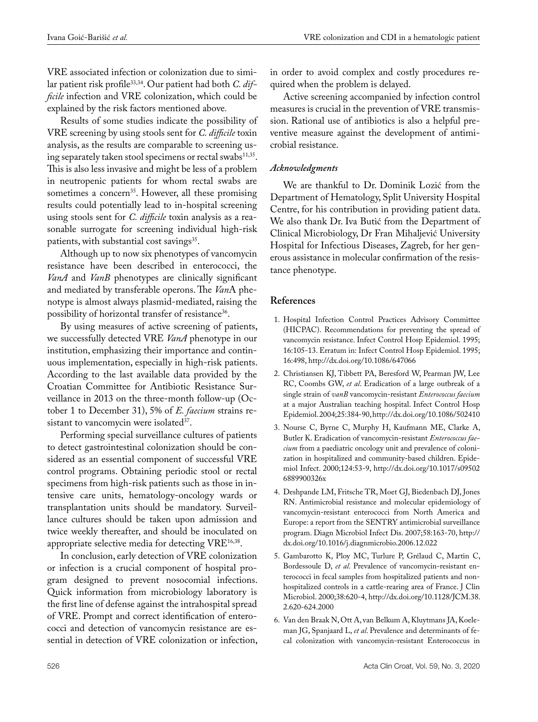VRE associated infection or colonization due to similar patient risk profile33,34. Our patient had both *C. difficile* infection and VRE colonization, which could be explained by the risk factors mentioned above*.*

Results of some studies indicate the possibility of VRE screening by using stools sent for *C. difficile* toxin analysis, as the results are comparable to screening using separately taken stool specimens or rectal swabs<sup>11,35</sup>. This is also less invasive and might be less of a problem in neutropenic patients for whom rectal swabs are sometimes a concern<sup>35</sup>. However, all these promising results could potentially lead to in-hospital screening using stools sent for *C. difficile* toxin analysis as a reasonable surrogate for screening individual high-risk patients, with substantial cost savings<sup>35</sup>.

Although up to now six phenotypes of vancomycin resistance have been described in enterococci, the *VanA* and *VanB* phenotypes are clinically significant and mediated by transferable operons. The *Van*A phenotype is almost always plasmid-mediated, raising the possibility of horizontal transfer of resistance<sup>36</sup>.

By using measures of active screening of patients, we successfully detected VRE *VanA* phenotype in our institution, emphasizing their importance and continuous implementation, especially in high-risk patients. According to the last available data provided by the Croatian Committee for Antibiotic Resistance Surveillance in 2013 on the three-month follow-up (October 1 to December 31), 5% of *E. faecium* strains resistant to vancomycin were isolated $37$ .

Performing special surveillance cultures of patients to detect gastrointestinal colonization should be considered as an essential component of successful VRE control programs. Obtaining periodic stool or rectal specimens from high-risk patients such as those in intensive care units, hematology-oncology wards or transplantation units should be mandatory. Surveillance cultures should be taken upon admission and twice weekly thereafter, and should be inoculated on appropriate selective media for detecting VRE16,38.

In conclusion, early detection of VRE colonization or infection is a crucial component of hospital program designed to prevent nosocomial infections. Quick information from microbiology laboratory is the first line of defense against the intrahospital spread of VRE. Prompt and correct identification of enterococci and detection of vancomycin resistance are essential in detection of VRE colonization or infection, in order to avoid complex and costly procedures required when the problem is delayed.

Active screening accompanied by infection control measures is crucial in the prevention of VRE transmission. Rational use of antibiotics is also a helpful preventive measure against the development of antimicrobial resistance.

#### *Acknowledgments*

We are thankful to Dr. Dominik Lozić from the Department of Hematology, Split University Hospital Centre, for his contribution in providing patient data. We also thank Dr. Iva Butić from the Department of Clinical Microbiology, Dr Fran Mihaljević University Hospital for Infectious Diseases, Zagreb, for her generous assistance in molecular confirmation of the resistance phenotype.

#### **References**

- 1. Hospital Infection Control Practices Advisory Committee (HICPAC). Recommendations for preventing the spread of vancomycin resistance. Infect Control Hosp Epidemiol. 1995; 16:105-13. Erratum in: Infect Control Hosp Epidemiol. 1995; 16:498, http://dx.doi.org/10.1086/647066
- 2. Christiansen KJ, Tibbett PA, Beresford W, Pearman JW, Lee RC, Coombs GW, *et al*. Eradication of a large outbreak of a single strain of *vanB* vancomycin-resistant *Enterococcus faecium* at a major Australian teaching hospital. Infect Control Hosp Epidemiol. 2004;25:384-90, http://dx.doi.org/10.1086/502410
- 3. Nourse C, Byrne C, Murphy H, Kaufmann ME, Clarke A, Butler K. Eradication of vancomycin-resistant *Enterococcus faecium* from a paediatric oncology unit and prevalence of colonization in hospitalized and community-based children. Epidemiol Infect. 2000;124:53-9, http://dx.doi.org/10.1017/s09502 6889900326x
- 4. Deshpande LM, Fritsche TR, Moet GJ, Biedenbach DJ, Jones RN. Antimicrobial resistance and molecular epidemiology of vancomycin-resistant enterococci from North America and Europe: a report from the SENTRY antimicrobial surveillance program. Diagn Microbiol Infect Dis. 2007;58:163-70, http:// dx.doi.org/10.1016/j.diagnmicrobio.2006.12.022
- 5. Gambarotto K, Ploy MC, Turlure P, Grélaud C, Martin C, Bordessoule D, *et al*. Prevalence of vancomycin-resistant enterococci in fecal samples from hospitalized patients and nonhospitalized controls in a cattle-rearing area of France. J Clin Microbiol. 2000;38:620-4, http://dx.doi.org/10.1128/JCM.38. 2.620-624.2000
- 6. Van den Braak N, Ott A, van Belkum A, Kluytmans JA, Koeleman JG, Spanjaard L, *et al*. Prevalence and determinants of fecal colonization with vancomycin-resistant Enterococcus in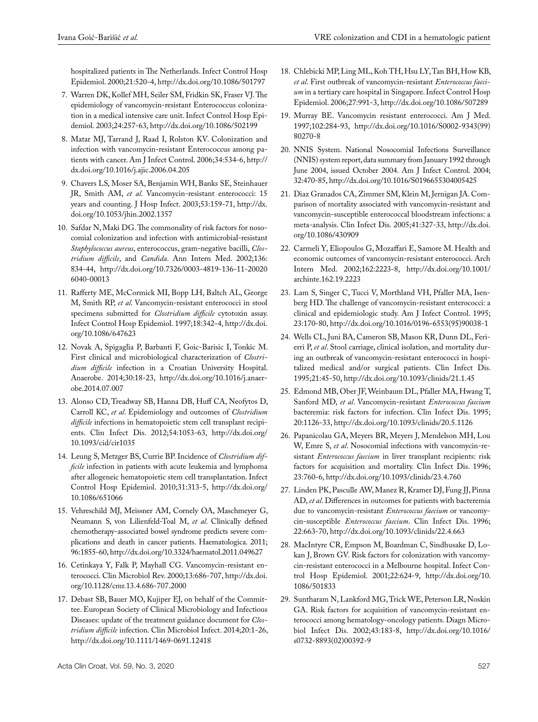hospitalized patients in The Netherlands. Infect Control Hosp Epidemiol. 2000;21:520-4, http://dx.doi.org/10.1086/501797

- 7. Warren DK, Kollef MH, Seiler SM, Fridkin SK, Fraser VJ. The epidemiology of vancomycin-resistant Enterococcus colonization in a medical intensive care unit. Infect Control Hosp Epidemiol. 2003;24:257-63, http://dx.doi.org/10.1086/502199
- 8. Matar MJ, Tarrand J, Raad I, Rolston KV. Colonization and infection with vancomycin-resistant Enterococcus among patients with cancer. Am J Infect Control. 2006;34:534-6, http:// dx.doi.org/10.1016/j.ajic.2006.04.205
- 9. Chavers LS, Moser SA, Benjamin WH, Banks SE, Steinhauer JR, Smith AM, *et al*. Vancomycin-resistant enterococci: 15 years and counting. J Hosp Infect. 2003;53:159-71, http://dx. doi.org/10.1053/jhin.2002.1357
- 10. Safdar N, Maki DG. The commonality of risk factors for nosocomial colonization and infection with antimicrobial-resistant *Staphylococcus aureus*, enterococcus, gram-negative bacilli, *Clostridium difficile*, and *Candida*. Ann Intern Med. 2002;136: 834-44, http://dx.doi.org/10.7326/0003-4819-136-11-20020 6040-00013
- 11. Rafferty ME, McCormick MI, Bopp LH, Baltch AL, George M, Smith RP, *et al*. Vancomycin-resistant enterococci in stool specimens submitted for *Clostridium difficile* cytotoxin assay. Infect Control Hosp Epidemiol. 1997;18:342-4, http://dx.doi. org/10.1086/647623
- 12. Novak A, Spigaglia P, Barbanti F, Goic-Barisic I, Tonkic M. First clinical and microbiological characterization of *Clostridium difficile* infection in a Croatian University Hospital. Anaerobe. 2014;30:18-23, http://dx.doi.org/10.1016/j.anaerobe.2014.07.007
- 13. Alonso CD, Treadway SB, Hanna DB, Huff CA, Neofytos D, Carroll KC, *et al*. Epidemiology and outcomes of *Clostridium difficile* infections in hematopoietic stem cell transplant recipients. Clin Infect Dis. 2012;54:1053-63, http://dx.doi.org/ 10.1093/cid/cir1035
- 14. Leung S, Metzger BS, Currie BP. Incidence of *Clostridium difficile* infection in patients with acute leukemia and lymphoma after allogeneic hematopoietic stem cell transplantation. Infect Control Hosp Epidemiol. 2010;31:313-5, http://dx.doi.org/ 10.1086/651066
- 15. Vehreschild MJ, Meissner AM, Cornely OA, Maschmeyer G, Neumann S, von Lilienfeld-Toal M, *et al*. Clinically defined chemotherapy-associated bowel syndrome predicts severe complications and death in cancer patients. Haematologica. 2011; 96:1855-60, http://dx.doi.org/10.3324/haematol.2011.049627
- 16. Cetinkaya Y, Falk P, Mayhall CG. Vancomycin-resistant enterococci. Clin Microbiol Rev. 2000;13:686-707, http://dx.doi. org/10.1128/cmr.13.4.686-707.2000
- 17. Debast SB, Bauer MO, Kujiper EJ, on behalf of the Committee. European Society of Clinical Microbiology and Infectious Diseases: update of the treatment guidance document for *Clostridium difficile* infection. Clin Microbiol Infect. 2014;20:1-26, http://dx.doi.org/10.1111/1469-0691.12418
- 18. Chlebicki MP, Ling ML, Koh TH, Hsu LY, Tan BH, How KB, *et al*. First outbreak of vancomycin-resistant *Enterococcus faecium* in a tertiary care hospital in Singapore. Infect Control Hosp Epidemiol. 2006;27:991-3, http://dx.doi.org/10.1086/507289
- 19. Murray BE. Vancomycin resistant enterococci. Am J Med. 1997;102:284-93, http://dx.doi.org/10.1016/S0002-9343(99) 80270-8
- 20. NNIS System. National Nosocomial Infections Surveillance (NNIS) system report, data summary from January 1992 through June 2004, issued October 2004. Am J Infect Control. 2004; 32:470-85, http://dx.doi.org/10.1016/S0196655304005425
- 21. Diaz Granados CA, Zimmer SM, Klein M, Jernigan JA. Comparison of mortality associated with vancomycin-resistant and vancomycin-susceptible enterococcal bloodstream infections: a meta-analysis. Clin Infect Dis. 2005;41:327-33, http://dx.doi. org/10.1086/430909
- 22. Carmeli Y, Eliopoulos G, Mozaffari E, Samore M. Health and economic outcomes of vancomycin-resistant enterococci. Arch Intern Med. 2002;162:2223-8, http://dx.doi.org/10.1001/ archinte.162.19.2223
- 23. Lam S, Singer C, Tucci V, Morthland VH, Pfaller MA, Isenberg HD. The challenge of vancomycin-resistant enterococci: a clinical and epidemiologic study. Am J Infect Control. 1995; 23:170-80, http://dx.doi.org/10.1016/0196-6553(95)90038-1
- 24. Wells CL, Juni BA, Cameron SB, Mason KR, Dunn DL, Ferierri P, *et al*. Stool carriage, clinical isolation, and mortality during an outbreak of vancomycin-resistant enterococci in hospitalized medical and/or surgical patients. Clin Infect Dis. 1995;21:45-50, http://dx.doi.org/10.1093/clinids/21.1.45
- 25. Edmond MB, Ober JF, Weinbaum DL, Pfaller MA, Hwang T, Sanford MD, *et al*. Vancomycin-resistant *Enterococcus faecium* bacteremia: risk factors for infection. Clin Infect Dis. 1995; 20:1126-33, http://dx.doi.org/10.1093/clinids/20.5.1126
- 26. Papanicolau GA, Meyers BR, Meyers J, Mendelson MH, Lou W, Emre S, *et al*. Nosocomial infections with vancomycin-resistant *Enterococcus faecium* in liver transplant recipients: risk factors for acquisition and mortality. Clin Infect Dis. 1996; 23:760-6, http://dx.doi.org/10.1093/clinids/23.4.760
- 27. Linden PK, Pasculle AW, Manez R, Kramer DJ, Fung JJ, Pinna AD, *et al*. Differences in outcomes for patients with bacteremia due to vancomycin-resistant *Enterococcus faecium* or vancomycin-susceptible *Enterococcus faecium*. Clin Infect Dis. 1996; 22:663-70, http://dx.doi.org/10.1093/clinids/22.4.663
- 28. MacIntyre CR, Empson M, Boardman C, Sindhusake D, Lokan J, Brown GV. Risk factors for colonization with vancomycin-resistant enterococci in a Melbourne hospital. Infect Control Hosp Epidemiol. 2001;22:624-9, http://dx.doi.org/10. 1086/501833
- 29. Suntharam N, Lankford MG, Trick WE, Peterson LR, Noskin GA. Risk factors for acquisition of vancomycin-resistant enterococci among hematology-oncology patients. Diagn Microbiol Infect Dis. 2002;43:183-8, http://dx.doi.org/10.1016/ s0732-8893(02)00392-9